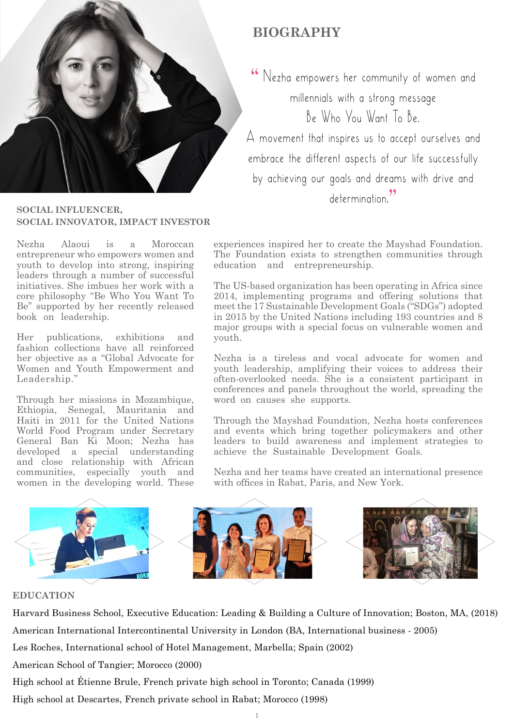

# **BIOGRAPHY**

 $66$  Nezha empowers her community of women and millennials with a strong message Be Who You Want To Be.

 $A$  movement that inspires us to accept ourselves and embrace the different aspects of our life successfully by achieving our goals and dreams with drive and determination<sup>99</sup>

#### **SOCIAL INFLUENCER. SOCIAL INNOVATOR, IMPACT INVESTOR**

Nezha Alaoui is a Moroccan entrepreneur who empowers women and youth to develop into strong, inspiring leaders through a number of successful initiatives. She imbues her work with a The Want To Core philosophy "Be Who You Want To Be" supported by her recently released book on leadership.

Her publications, exhibitions and fashion collections have all reinforced her objective as a "Global Advocate for Women and Youth Empowerment and Leadership."

Through her missions in Mozambique, Ethiopia, Senegal, Mauritania and Haiti in 2011 for the United Nations World Food Program under Secretary General Ban Ki Moon: Nezha has developed a special understanding and close relationship with African communities, especially youth and women in the developing world. These

experiences inspired her to create the Mayshad Foundation. The Foundation exists to strengthen communities through education and entrepreneurship.

The US-based organization has been operating in Africa since 2014, implementing programs and offering solutions that meet the 17 Sustainable Development Goals ("SDGs") adopted in 2015 by the United Nations including  $193$  countries and  $8$ major groups with a special focus on vulnerable women and .youth

Nezha is a tireless and vocal advocate for women and vouth leadership, amplifying their voices to address their  $\alpha$ <sub>i</sub> often-overlooked needs. She is a consistent participant in conferences and panels throughout the world, spreading the word on causes she supports.

Through the Mayshad Foundation, Nezha hosts conferences and events which bring together policymakers and other leaders to build awareness and implement strategies to achieve the Sustainable Development Goals.

Nezha and her teams have created an international presence with offices in Rabat, Paris, and New York.



## **EDUCATION**

Harvard Business School, Executive Education: Leading & Building a Culture of Innovation; Boston, MA, (2018)

American International Intercontinental University in London (BA, International business - 2005)

Les Roches, International school of Hotel Management, Marbella; Spain (2002)

American School of Tangier; Morocco (2000)

High school at Étienne Brule, French private high school in Toronto; Canada (1999)

High school at Descartes, French private school in Rabat; Morocco (1998)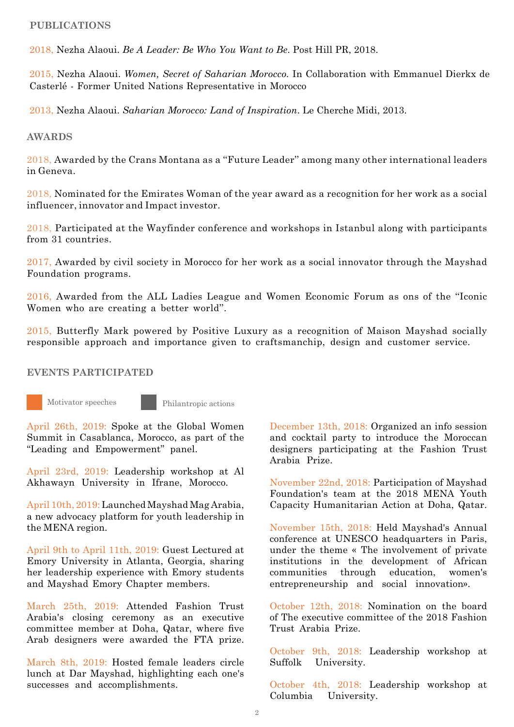#### **PUBLICATIONS**

2018. Nezha Alaoui. *Be A Leader: Be Who You Want to Be.* Post Hill PR, 2018.

2015, Nezha Alaoui. Women. Secret of Saharian Morocco. In Collaboration with Emmanuel Dierkx de Casterlé - Former United Nations Representative in Morocco

2013. Nezha Alaoui. *Saharian Morocco: Land of Inspiration*. Le Cherche Midi. 2013.

#### **AWARDS**

2018, Awarded by the Crans Montana as a "Future Leader" among many other international leaders .Geneva in

 $2018$ , Nominated for the Emirates Woman of the year award as a recognition for her work as a social influencer, innovator and Impact investor.

 $2018$ , Participated at the Wayfinder conference and workshops in Istanbul along with participants from 31 countries.

 $2017$ , Awarded by civil society in Morocco for her work as a social innovator through the Mayshad Foundation programs.

 $2016$ , Awarded from the ALL Ladies League and Women Economic Forum as ons of the "Iconic Women who are creating a better world".

 $2015$ , Butterfly Mark powered by Positive Luxury as a recognition of Maison Mayshad socially responsible approach and importance given to craftsmanchip, design and customer service.

### **EVENTS PARTICIPATED**

Motivator speeches Philantropic actions

April 26th, 2019: Spoke at the Global Women Summit in Casablanca, Morocco, as part of the "Leading and Empowerment" panel.

April 23rd, 2019: Leadership workshop at Al Akhawayn University in Ifrane, Morocco.

April 10th, 2019: Launched Mayshad Mag Arabia, a new advocacy platform for youth leadership in the MENA region.

April 9th to April 11th, 2019: Guest Lectured at Emory University in Atlanta, Georgia, sharing her leadership experience with Emory students and Mayshad Emory Chapter members.

March 25th, 2019: Attended Fashion Trust Arabia's closing ceremony as an executive committee member at Doha, Qatar, where five Arab designers were awarded the FTA prize.

March 8th, 2019: Hosted female leaders circle lunch at Dar Mayshad, highlighting each one's successes and accomplishments.

December 13th, 2018: Organized an info session and cocktail party to introduce the Moroccan designers participating at the Fashion Trust Arabia Prize

November 22nd, 2018: Participation of Mayshad Foundation's team at the 2018 MENA Youth Capacity Humanitarian Action at Doha, Qatar.

November 15th, 2018: Held Mayshad's Annual conference at UNESCO headquarters in Paris, under the theme « The involvement of private institutions in the development of African communities through education, women's entrepreneurship and social innovation».

October 12th,  $2018$ : Nomination on the board of The executive committee of the  $2018$  Fashion Trust Arabia Prize.

October 9th, 2018: Leadership workshop at Suffolk University.

October 4th, 2018: Leadership workshop at Columbia University.